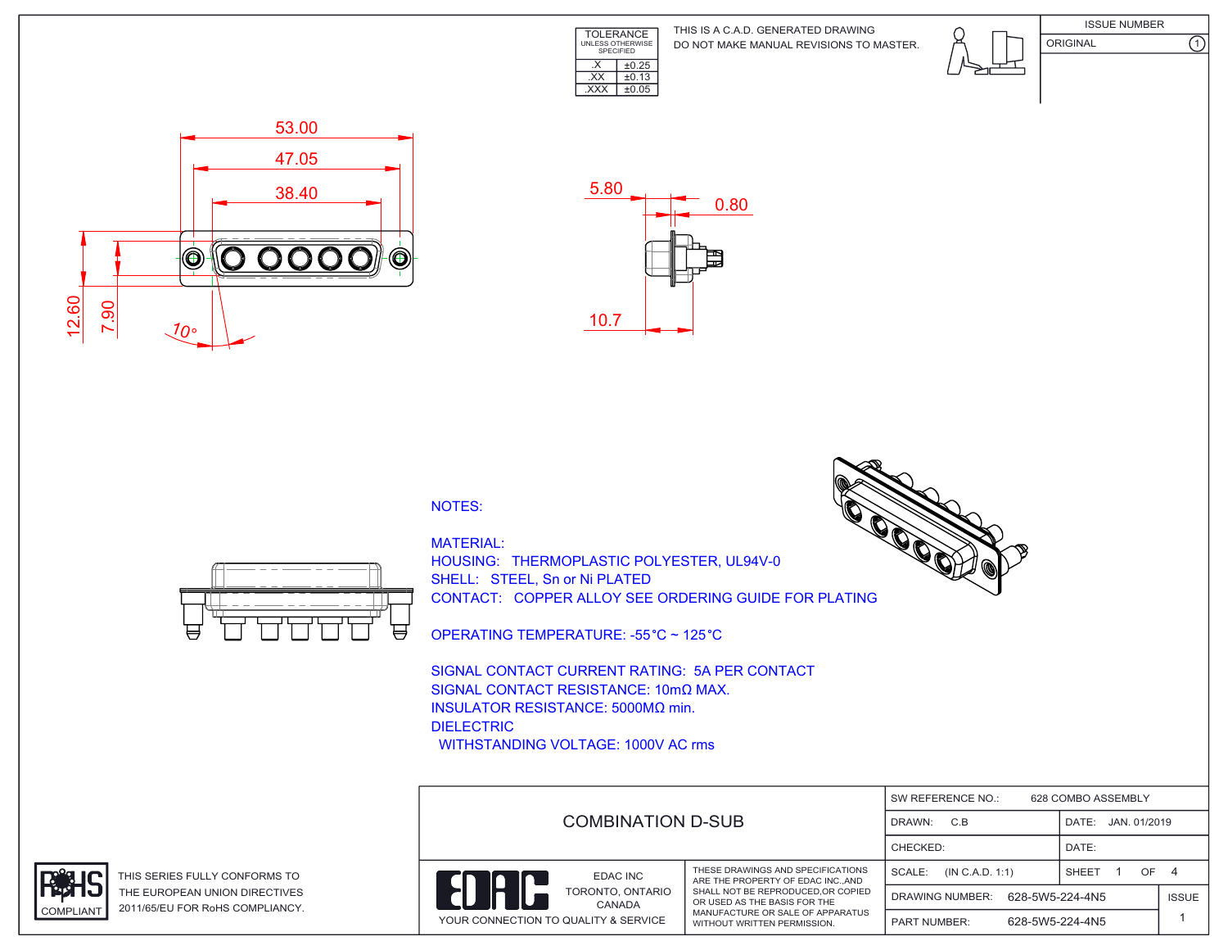

DO NOT MAKE MANUAL REVISIONS TO MASTER. THIS IS A C.A.D. GENERATED DRAWING







## NOTES:



HOUSING: THERMOPLASTIC POLYESTER, UL94V-0 SHELL: STEEL, Sn or Ni PLATED CONTACT: COPPER ALLOY SEE ORDERING GUIDE FOR PLATING

OPERATING TEMPERATURE: -55 °C ~ 125 °C

SIGNAL CONTACT CURRENT RATING: 5A PER CONTACT SIGNAL CONTACT RESISTANCE: 10mΩ MAX. INSULATOR RESISTANCE: 5000MΩ min. DIELECTRIC WITHSTANDING VOLTAGE: 1000V AC rms





THIS SERIES FULLY CONFORMS TO THE EUROPEAN UNION DIRECTIVES COMPLIANT 2011/65/EU FOR RoHS COMPLIANCY.



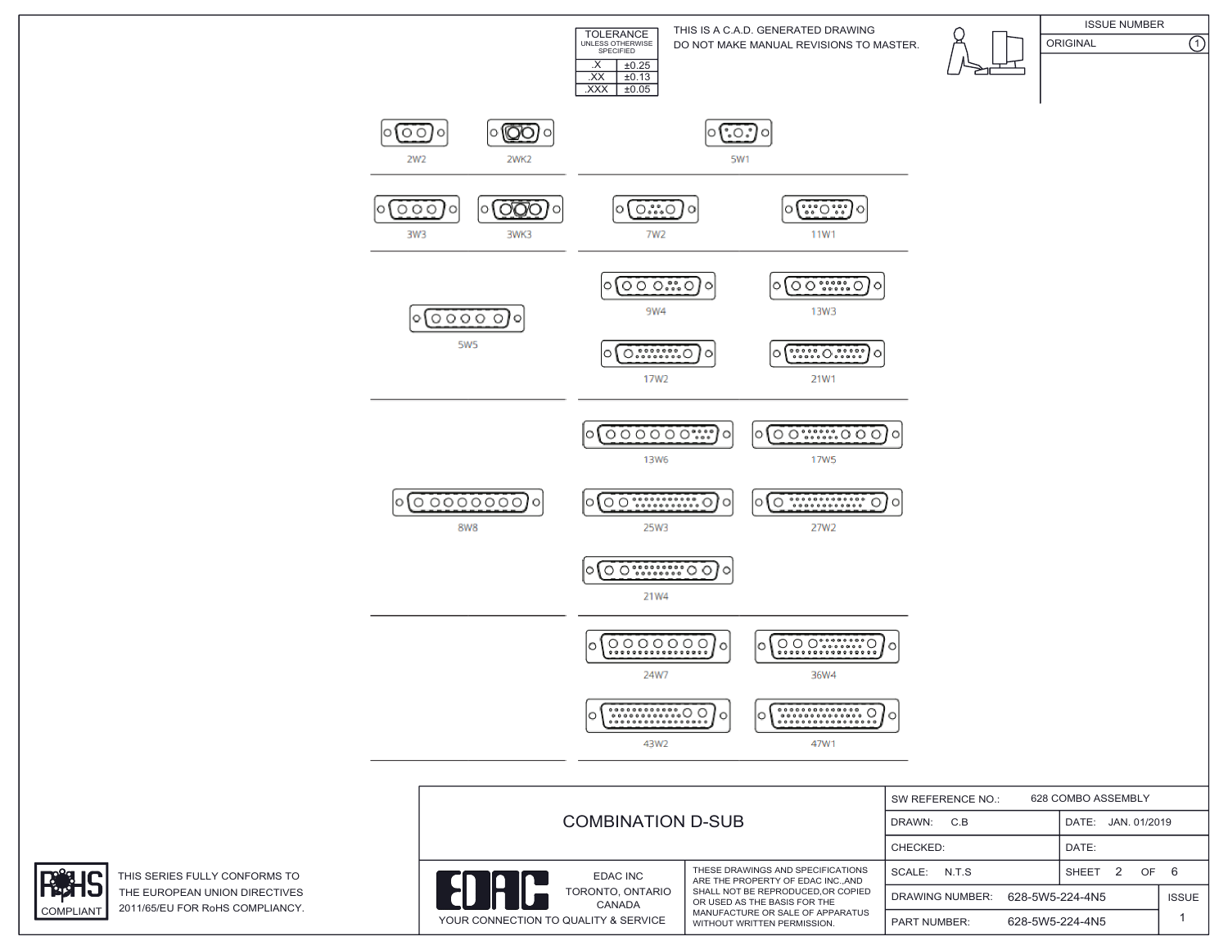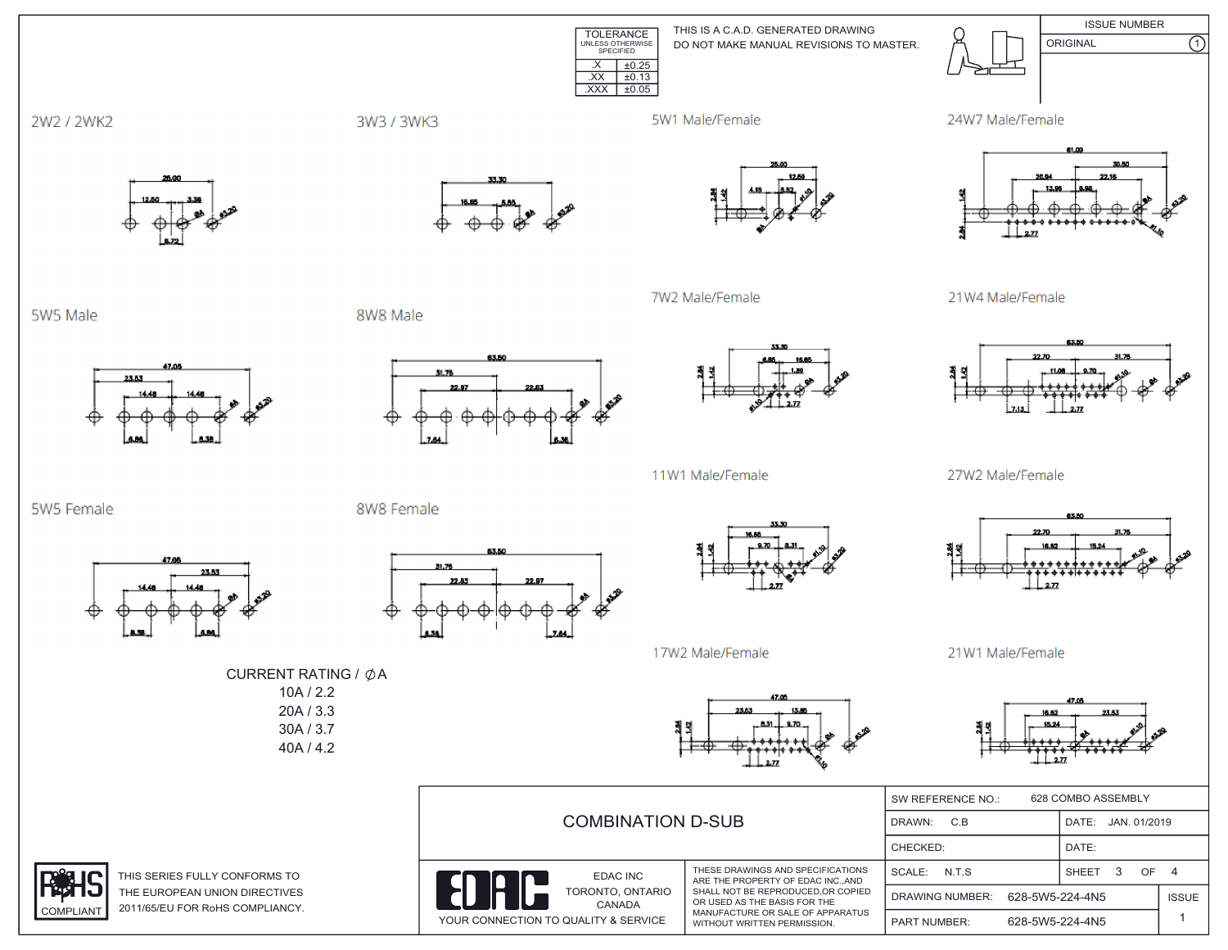**ISSUE NUMBER** THIS IS A C.A.D. GENERATED DRAWING TOLERANCE<br>UNLESS OTHERWISE<br>SPECIFIED ORIGINAL DO NOT MAKE MANUAL REVISIONS TO MASTER.  $X \mid \pm 0.25$  $\overline{XX}$   $\pm 0.13$  $\overline{XXX}$   $\pm 0.05$ 



 $\overline{\Omega}$ 



 $2\pi$ 



27W2 Male/Female



21W1 Male/Female



| <b>COMBINATION D-SUB</b>                                                                    |                                                                                                                                                                                                                | 628 COMBO ASSEMBLY<br>SW REFERENCE NO.: |                       |              |  |
|---------------------------------------------------------------------------------------------|----------------------------------------------------------------------------------------------------------------------------------------------------------------------------------------------------------------|-----------------------------------------|-----------------------|--------------|--|
|                                                                                             |                                                                                                                                                                                                                | DRAWN:<br>C.B                           | JAN. 01/2019<br>DATE: |              |  |
|                                                                                             |                                                                                                                                                                                                                | CHECKED:                                | DATE:                 |              |  |
| EDAC INC<br><b>EN</b><br>TORONTO, ONTARIO<br>CANADA<br>YOUR CONNECTION TO QUALITY & SERVICE | THESE DRAWINGS AND SPECIFICATIONS<br>ARE THE PROPERTY OF EDAC INC. AND<br>SHALL NOT BE REPRODUCED.OR COPIED<br>OR USED AS THE BASIS FOR THE<br>MANUFACTURE OR SALE OF APPARATUS<br>WITHOUT WRITTEN PERMISSION. | SCALE: N.T.S.                           | 3<br>OF<br>SHEET      |              |  |
|                                                                                             |                                                                                                                                                                                                                | 628-5W5-224-4N5<br>DRAWING NUMBER:      |                       | <b>ISSUE</b> |  |
|                                                                                             |                                                                                                                                                                                                                | 628-5W5-224-4N5<br><b>PART NUMBER:</b>  |                       |              |  |

2W2 / 2WK2

5W5 Male

5W5 Female

47.00

23.53

23.53



5W1 Male/Female





7W2 Male/Female

8W8 Male

8W8 Female

31.76





11W1 Male/Female



17W2 Male/Female

CURRENT RATING / ØA  $10A / 2.2$  $20A / 3.3$ 30A / 3.7 40A / 4.2



THIS SERIES FULLY CONFORMS TO THE EUROPEAN UNION DIRECTIVES 2011/65/EU FOR RoHS COMPLIANCY. **COMPLIANT**